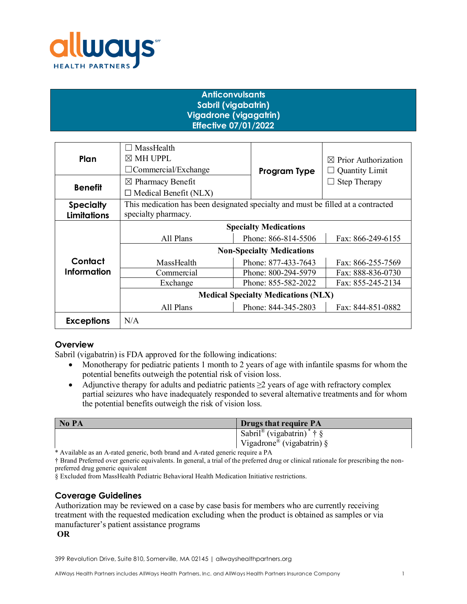

# **Anticonvulsants Sabril (vigabatrin) Vigadrone (vigagatrin) Effective 07/01/2022**

| Plan               | MassHealth<br>$\boxtimes$ MH UPPL<br>$\Box$ Commercial/Exchange                  | Program Type        | $\boxtimes$ Prior Authorization<br><b>Quantity Limit</b> |
|--------------------|----------------------------------------------------------------------------------|---------------------|----------------------------------------------------------|
| <b>Benefit</b>     | $\boxtimes$ Pharmacy Benefit                                                     |                     | <b>Step Therapy</b>                                      |
|                    | $\Box$ Medical Benefit (NLX)                                                     |                     |                                                          |
| <b>Specialty</b>   | This medication has been designated specialty and must be filled at a contracted |                     |                                                          |
| <b>Limitations</b> | specialty pharmacy.                                                              |                     |                                                          |
|                    | <b>Specialty Medications</b>                                                     |                     |                                                          |
|                    | All Plans                                                                        | Phone: 866-814-5506 | Fax: 866-249-6155                                        |
|                    | <b>Non-Specialty Medications</b>                                                 |                     |                                                          |
| Contact            | MassHealth                                                                       | Phone: 877-433-7643 | Fax: 866-255-7569                                        |
| <b>Information</b> | Commercial                                                                       | Phone: 800-294-5979 | Fax: 888-836-0730                                        |
|                    | Exchange                                                                         | Phone: 855-582-2022 | Fax: 855-245-2134                                        |
|                    | <b>Medical Specialty Medications (NLX)</b>                                       |                     |                                                          |
|                    | All Plans                                                                        | Phone: 844-345-2803 | Fax: 844-851-0882                                        |
| <b>Exceptions</b>  | N/A                                                                              |                     |                                                          |

## **Overview**

Sabril (vigabatrin) is FDA approved for the following indications:

- Monotherapy for pediatric patients 1 month to 2 years of age with infantile spasms for whom the potential benefits outweigh the potential risk of vision loss.
- Adjunctive therapy for adults and pediatric patients  $\geq 2$  years of age with refractory complex partial seizures who have inadequately responded to several alternative treatments and for whom the potential benefits outweigh the risk of vision loss.

| No PA | <b>Drugs that require PA</b>                      |
|-------|---------------------------------------------------|
|       | Sabril <sup>®</sup> (vigabatrin) <sup>*</sup> † § |
|       | Vigadrone <sup>®</sup> (vigabatrin) §             |

\* Available as an A-rated generic, both brand and A-rated generic require a PA

† Brand Preferred over generic equivalents. In general, a trial of the preferred drug or clinical rationale for prescribing the nonpreferred drug generic equivalent

§ Excluded from MassHealth Pediatric Behavioral Health Medication Initiative restrictions.

# **Coverage Guidelines**

Authorization may be reviewed on a case by case basis for members who are currently receiving treatment with the requested medication excluding when the product is obtained as samples or via manufacturer's patient assistance programs

## **OR**

399 Revolution Drive, Suite 810, Somerville, MA 02145 | allwayshealthpartners.org